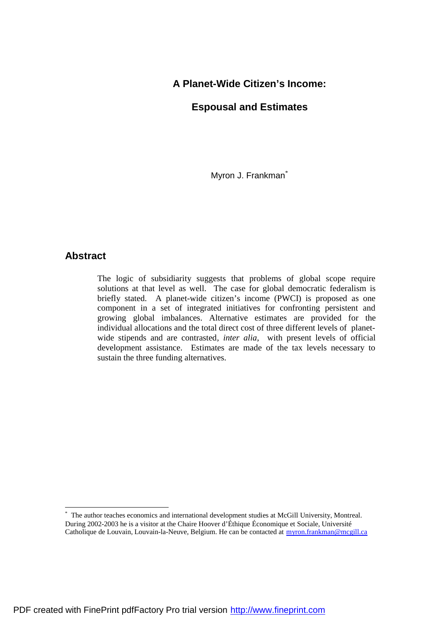## **A Planet-Wide Citizen's Income:**

## **Espousal and Estimates**

Myron J. Frankman<sup>\*</sup>

## **Abstract**

-

The logic of subsidiarity suggests that problems of global scope require solutions at that level as well. The case for global democratic federalism is briefly stated. A planet-wide citizen's income (PWCI) is proposed as one component in a set of integrated initiatives for confronting persistent and growing global imbalances. Alternative estimates are provided for the individual allocations and the total direct cost of three different levels of planetwide stipends and are contrasted*, inter alia*, with present levels of official development assistance. Estimates are made of the tax levels necessary to sustain the three funding alternatives.

<sup>\*</sup> The author teaches economics and international development studies at McGill University, Montreal. During 2002-2003 he is a visitor at the Chaire Hoover d'Éthique Économique et Sociale, Université Catholique de Louvain, Louvain-la-Neuve, Belgium. He can be contacted at [myron.frankman@mcgill.ca](mailto:myron.frankman@mcgill.ca)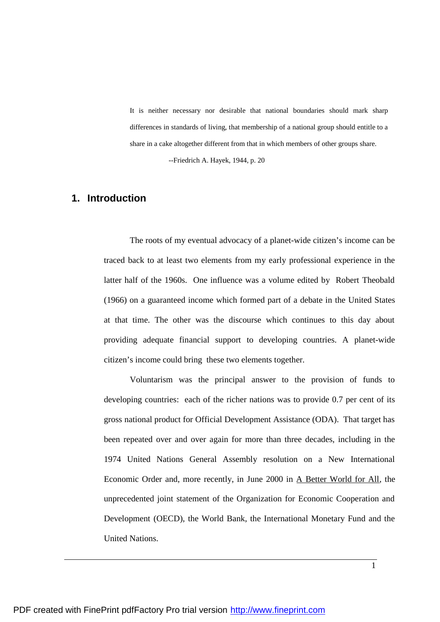It is neither necessary nor desirable that national boundaries should mark sharp differences in standards of living, that membership of a national group should entitle to a share in a cake altogether different from that in which members of other groups share.

--Friedrich A. Hayek, 1944, p. 20

## **1. Introduction**

The roots of my eventual advocacy of a planet-wide citizen's income can be traced back to at least two elements from my early professional experience in the latter half of the 1960s. One influence was a volume edited by Robert Theobald (1966) on a guaranteed income which formed part of a debate in the United States at that time. The other was the discourse which continues to this day about providing adequate financial support to developing countries. A planet-wide citizen's income could bring these two elements together.

Voluntarism was the principal answer to the provision of funds to developing countries: each of the richer nations was to provide 0.7 per cent of its gross national product for Official Development Assistance (ODA). That target has been repeated over and over again for more than three decades, including in the 1974 United Nations General Assembly resolution on a New International Economic Order and, more recently, in June 2000 in A Better World for All, the unprecedented joint statement of the Organization for Economic Cooperation and Development (OECD), the World Bank, the International Monetary Fund and the United Nations.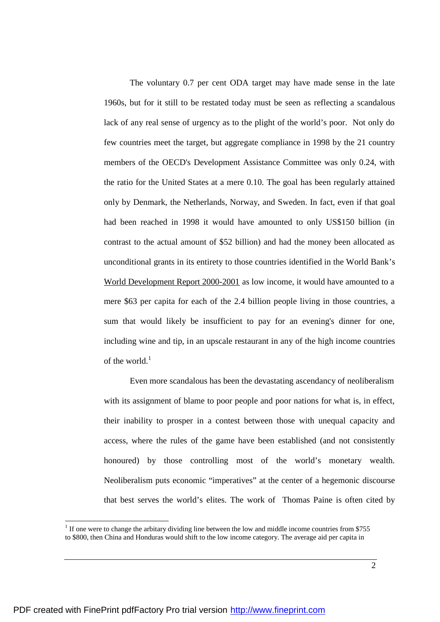The voluntary 0.7 per cent ODA target may have made sense in the late 1960s, but for it still to be restated today must be seen as reflecting a scandalous lack of any real sense of urgency as to the plight of the world's poor. Not only do few countries meet the target, but aggregate compliance in 1998 by the 21 country members of the OECD's Development Assistance Committee was only 0.24, with the ratio for the United States at a mere 0.10. The goal has been regularly attained only by Denmark, the Netherlands, Norway, and Sweden. In fact, even if that goal had been reached in 1998 it would have amounted to only US\$150 billion (in contrast to the actual amount of \$52 billion) and had the money been allocated as unconditional grants in its entirety to those countries identified in the World Bank's World Development Report 2000-2001 as low income, it would have amounted to a mere \$63 per capita for each of the 2.4 billion people living in those countries, a sum that would likely be insufficient to pay for an evening's dinner for one, including wine and tip, in an upscale restaurant in any of the high income countries of the world. $<sup>1</sup>$ </sup>

Even more scandalous has been the devastating ascendancy of neoliberalism with its assignment of blame to poor people and poor nations for what is, in effect, their inability to prosper in a contest between those with unequal capacity and access, where the rules of the game have been established (and not consistently honoured) by those controlling most of the world's monetary wealth. Neoliberalism puts economic "imperatives" at the center of a hegemonic discourse that best serves the world's elites. The work of Thomas Paine is often cited by

-

 $1$  If one were to change the arbitary dividing line between the low and middle income countries from \$755 to \$800, then China and Honduras would shift to the low income category. The average aid per capita in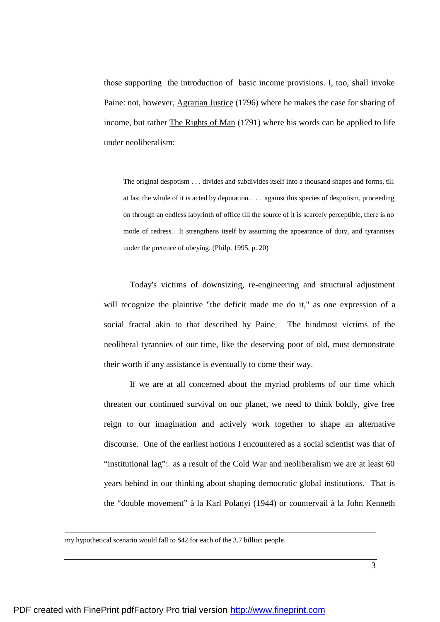those supporting the introduction of basic income provisions. I, too, shall invoke Paine: not, however, Agrarian Justice (1796) where he makes the case for sharing of income, but rather The Rights of Man (1791) where his words can be applied to life under neoliberalism:

The original despotism . . . divides and subdivides itself into a thousand shapes and forms, till at last the whole of it is acted by deputation. . . . against this species of despotism, proceeding on through an endless labyrinth of office till the source of it is scarcely perceptible, there is no mode of redress. It strengthens itself by assuming the appearance of duty, and tyrannises under the pretence of obeying. (Philp, 1995, p. 20)

Today's victims of downsizing, re-engineering and structural adjustment will recognize the plaintive "the deficit made me do it," as one expression of a social fractal akin to that described by Paine. The hindmost victims of the neoliberal tyrannies of our time, like the deserving poor of old, must demonstrate their worth if any assistance is eventually to come their way.

If we are at all concerned about the myriad problems of our time which threaten our continued survival on our planet, we need to think boldly, give free reign to our imagination and actively work together to shape an alternative discourse. One of the earliest notions I encountered as a social scientist was that of "institutional lag": as a result of the Cold War and neoliberalism we are at least 60 years behind in our thinking about shaping democratic global institutions. That is the "double movement" à la Karl Polanyi (1944) or countervail à la John Kenneth

 $\overline{a}$ 

my hypothetical scenario would fall to \$42 for each of the 3.7 billion people.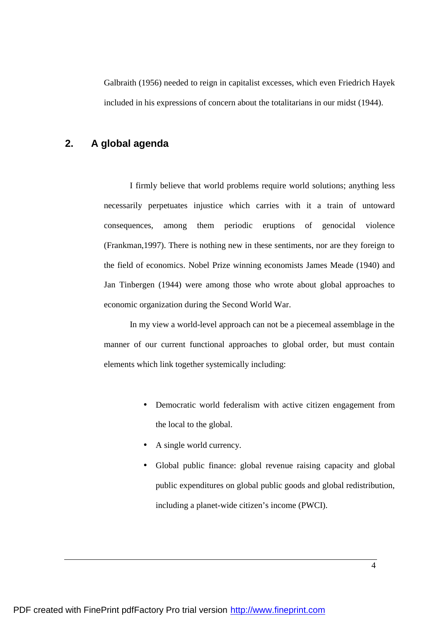Galbraith (1956) needed to reign in capitalist excesses, which even Friedrich Hayek included in his expressions of concern about the totalitarians in our midst (1944).

# **2. A global agenda**

I firmly believe that world problems require world solutions; anything less necessarily perpetuates injustice which carries with it a train of untoward consequences, among them periodic eruptions of genocidal violence (Frankman,1997). There is nothing new in these sentiments, nor are they foreign to the field of economics. Nobel Prize winning economists James Meade (1940) and Jan Tinbergen (1944) were among those who wrote about global approaches to economic organization during the Second World War.

In my view a world-level approach can not be a piecemeal assemblage in the manner of our current functional approaches to global order, but must contain elements which link together systemically including:

- Democratic world federalism with active citizen engagement from the local to the global.
- A single world currency.
- Global public finance: global revenue raising capacity and global public expenditures on global public goods and global redistribution, including a planet-wide citizen's income (PWCI).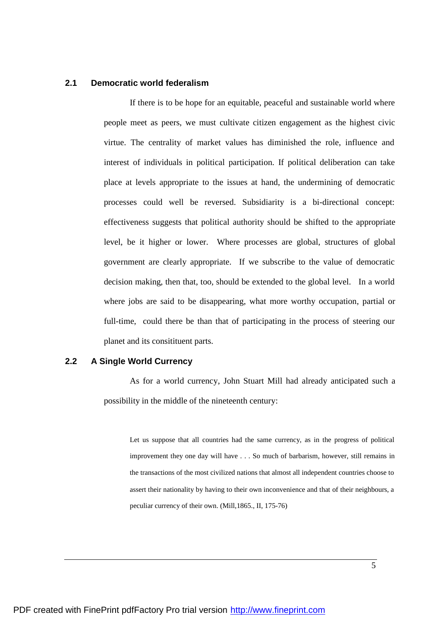#### **2.1 Democratic world federalism**

If there is to be hope for an equitable, peaceful and sustainable world where people meet as peers, we must cultivate citizen engagement as the highest civic virtue. The centrality of market values has diminished the role, influence and interest of individuals in political participation. If political deliberation can take place at levels appropriate to the issues at hand, the undermining of democratic processes could well be reversed. Subsidiarity is a bi-directional concept: effectiveness suggests that political authority should be shifted to the appropriate level, be it higher or lower. Where processes are global, structures of global government are clearly appropriate. If we subscribe to the value of democratic decision making, then that, too, should be extended to the global level. In a world where jobs are said to be disappearing, what more worthy occupation, partial or full-time, could there be than that of participating in the process of steering our planet and its consitituent parts.

#### **2.2 A Single World Currency**

As for a world currency, John Stuart Mill had already anticipated such a possibility in the middle of the nineteenth century:

Let us suppose that all countries had the same currency, as in the progress of political improvement they one day will have . . . So much of barbarism, however, still remains in the transactions of the most civilized nations that almost all independent countries choose to assert their nationality by having to their own inconvenience and that of their neighbours, a peculiar currency of their own. (Mill,1865., II, 175-76)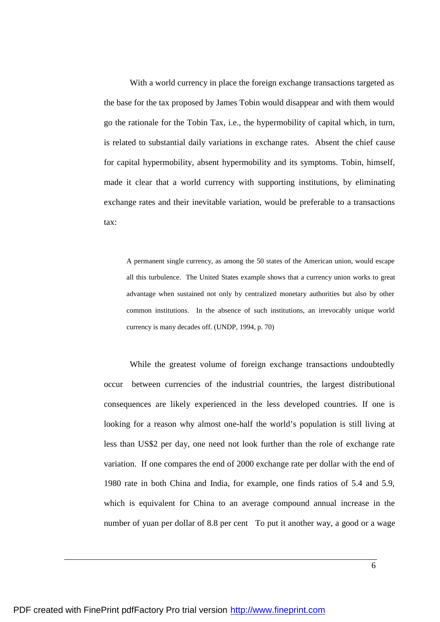With a world currency in place the foreign exchange transactions targeted as the base for the tax proposed by James Tobin would disappear and with them would go the rationale for the Tobin Tax, i.e., the hypermobility of capital which, in turn, is related to substantial daily variations in exchange rates. Absent the chief cause for capital hypermobility, absent hypermobility and its symptoms. Tobin, himself, made it clear that a world currency with supporting institutions, by eliminating exchange rates and their inevitable variation, would be preferable to a transactions tax:

A permanent single currency, as among the 50 states of the American union, would escape all this turbulence. The United States example shows that a currency union works to great advantage when sustained not only by centralized monetary authorities but also by other common institutions. In the absence of such institutions, an irrevocably unique world currency is many decades off. (UNDP, 1994, p. 70)

While the greatest volume of foreign exchange transactions undoubtedly occur between currencies of the industrial countries, the largest distributional consequences are likely experienced in the less developed countries. If one is looking for a reason why almost one-half the world's population is still living at less than US\$2 per day, one need not look further than the role of exchange rate variation. If one compares the end of 2000 exchange rate per dollar with the end of 1980 rate in both China and India, for example, one finds ratios of 5.4 and 5.9, which is equivalent for China to an average compound annual increase in the number of yuan per dollar of 8.8 per cent To put it another way, a good or a wage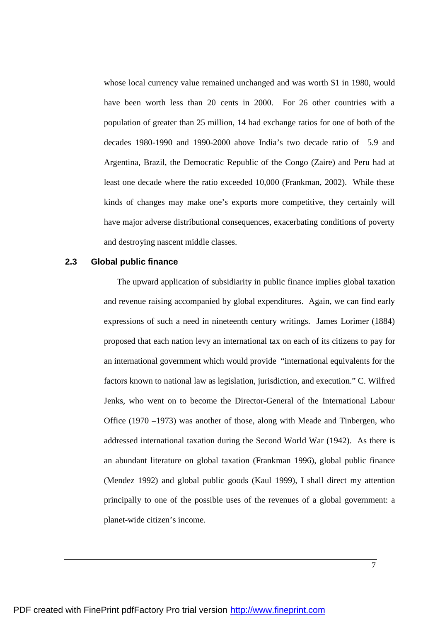whose local currency value remained unchanged and was worth \$1 in 1980, would have been worth less than 20 cents in 2000. For 26 other countries with a population of greater than 25 million, 14 had exchange ratios for one of both of the decades 1980-1990 and 1990-2000 above India's two decade ratio of 5.9 and Argentina, Brazil, the Democratic Republic of the Congo (Zaire) and Peru had at least one decade where the ratio exceeded 10,000 (Frankman, 2002). While these kinds of changes may make one's exports more competitive, they certainly will have major adverse distributional consequences, exacerbating conditions of poverty and destroying nascent middle classes.

### **2.3 Global public finance**

The upward application of subsidiarity in public finance implies global taxation and revenue raising accompanied by global expenditures. Again, we can find early expressions of such a need in nineteenth century writings. James Lorimer (1884) proposed that each nation levy an international tax on each of its citizens to pay for an international government which would provide "international equivalents for the factors known to national law as legislation, jurisdiction, and execution." C. Wilfred Jenks, who went on to become the Director-General of the International Labour Office (1970 –1973) was another of those, along with Meade and Tinbergen, who addressed international taxation during the Second World War (1942). As there is an abundant literature on global taxation (Frankman 1996), global public finance (Mendez 1992) and global public goods (Kaul 1999), I shall direct my attention principally to one of the possible uses of the revenues of a global government: a planet-wide citizen's income.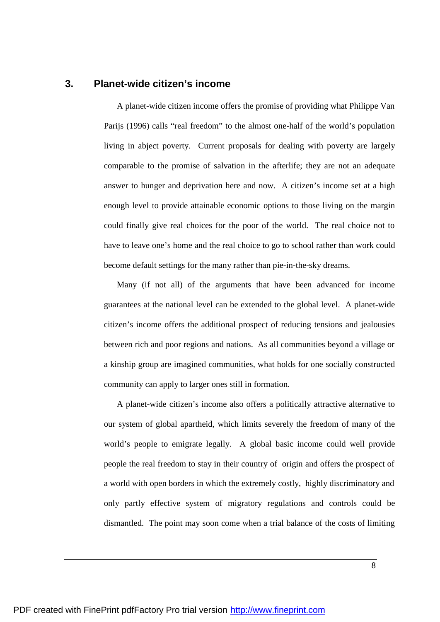### **3. Planet-wide citizen's income**

A planet-wide citizen income offers the promise of providing what Philippe Van Parijs (1996) calls "real freedom" to the almost one-half of the world's population living in abject poverty. Current proposals for dealing with poverty are largely comparable to the promise of salvation in the afterlife; they are not an adequate answer to hunger and deprivation here and now. A citizen's income set at a high enough level to provide attainable economic options to those living on the margin could finally give real choices for the poor of the world. The real choice not to have to leave one's home and the real choice to go to school rather than work could become default settings for the many rather than pie-in-the-sky dreams.

Many (if not all) of the arguments that have been advanced for income guarantees at the national level can be extended to the global level. A planet-wide citizen's income offers the additional prospect of reducing tensions and jealousies between rich and poor regions and nations. As all communities beyond a village or a kinship group are imagined communities, what holds for one socially constructed community can apply to larger ones still in formation.

A planet-wide citizen's income also offers a politically attractive alternative to our system of global apartheid, which limits severely the freedom of many of the world's people to emigrate legally. A global basic income could well provide people the real freedom to stay in their country of origin and offers the prospect of a world with open borders in which the extremely costly, highly discriminatory and only partly effective system of migratory regulations and controls could be dismantled. The point may soon come when a trial balance of the costs of limiting

8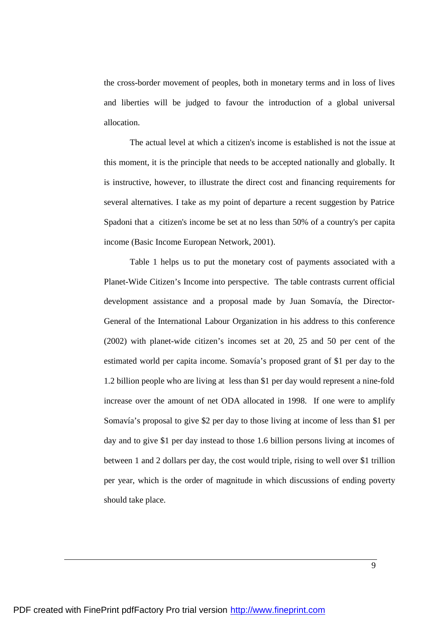the cross-border movement of peoples, both in monetary terms and in loss of lives and liberties will be judged to favour the introduction of a global universal allocation.

The actual level at which a citizen's income is established is not the issue at this moment, it is the principle that needs to be accepted nationally and globally. It is instructive, however, to illustrate the direct cost and financing requirements for several alternatives. I take as my point of departure a recent suggestion by Patrice Spadoni that a citizen's income be set at no less than 50% of a country's per capita income (Basic Income European Network, 2001).

Table 1 helps us to put the monetary cost of payments associated with a Planet-Wide Citizen's Income into perspective. The table contrasts current official development assistance and a proposal made by Juan Somavía, the Director-General of the International Labour Organization in his address to this conference (2002) with planet-wide citizen's incomes set at 20, 25 and 50 per cent of the estimated world per capita income. Somavía's proposed grant of \$1 per day to the 1.2 billion people who are living at less than \$1 per day would represent a nine-fold increase over the amount of net ODA allocated in 1998. If one were to amplify Somavía's proposal to give \$2 per day to those living at income of less than \$1 per day and to give \$1 per day instead to those 1.6 billion persons living at incomes of between 1 and 2 dollars per day, the cost would triple, rising to well over \$1 trillion per year, which is the order of magnitude in which discussions of ending poverty should take place.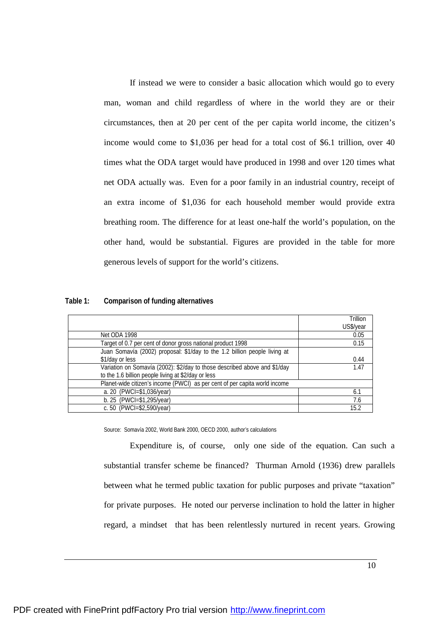If instead we were to consider a basic allocation which would go to every man, woman and child regardless of where in the world they are or their circumstances, then at 20 per cent of the per capita world income, the citizen's income would come to \$1,036 per head for a total cost of \$6.1 trillion, over 40 times what the ODA target would have produced in 1998 and over 120 times what net ODA actually was. Even for a poor family in an industrial country, receipt of an extra income of \$1,036 for each household member would provide extra breathing room. The difference for at least one-half the world's population, on the other hand, would be substantial. Figures are provided in the table for more generous levels of support for the world's citizens.

| Table 1: | Comparison of funding alternatives |  |
|----------|------------------------------------|--|
|          |                                    |  |

|                                                                            | <b>Trillion</b> |  |
|----------------------------------------------------------------------------|-----------------|--|
|                                                                            | US\$/year       |  |
| Net ODA 1998                                                               | 0.05            |  |
| Target of 0.7 per cent of donor gross national product 1998                | 0.15            |  |
| Juan Somavía (2002) proposal: \$1/day to the 1.2 billion people living at  |                 |  |
| \$1/day or less                                                            | 0.44            |  |
| Variation on Somavía (2002): \$2/day to those described above and \$1/day  | 1.47            |  |
| to the 1.6 billion people living at \$2/day or less                        |                 |  |
| Planet-wide citizen's income (PWCI) as per cent of per capita world income |                 |  |
| a. 20 (PWCI=\$1,036/year)                                                  | 6.1             |  |
| $b. 25$ (PWCI=\$1,295/year)                                                | 7.6             |  |
| c. 50 (PWCI=\$2,590/year)                                                  | 15.2            |  |

Source: Somavía 2002, World Bank 2000, OECD 2000, author's calculations

Expenditure is, of course, only one side of the equation. Can such a substantial transfer scheme be financed? Thurman Arnold (1936) drew parallels between what he termed public taxation for public purposes and private "taxation" for private purposes. He noted our perverse inclination to hold the latter in higher regard, a mindset that has been relentlessly nurtured in recent years. Growing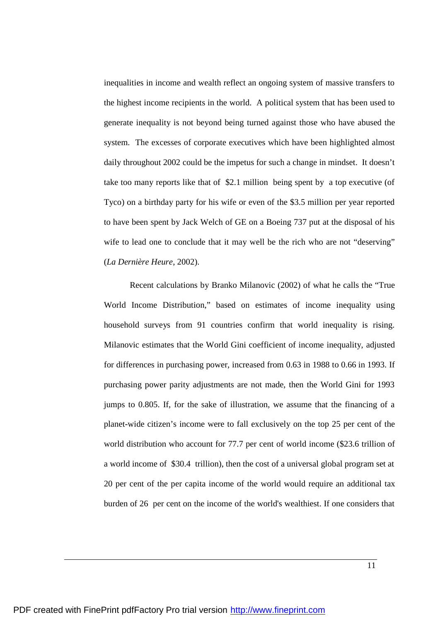inequalities in income and wealth reflect an ongoing system of massive transfers to the highest income recipients in the world. A political system that has been used to generate inequality is not beyond being turned against those who have abused the system. The excesses of corporate executives which have been highlighted almost daily throughout 2002 could be the impetus for such a change in mindset. It doesn't take too many reports like that of \$2.1 million being spent by a top executive (of Tyco) on a birthday party for his wife or even of the \$3.5 million per year reported to have been spent by Jack Welch of GE on a Boeing 737 put at the disposal of his wife to lead one to conclude that it may well be the rich who are not "deserving" (*La Dernière Heure*, 2002).

Recent calculations by Branko Milanovic (2002) of what he calls the "True World Income Distribution," based on estimates of income inequality using household surveys from 91 countries confirm that world inequality is rising. Milanovic estimates that the World Gini coefficient of income inequality, adjusted for differences in purchasing power, increased from 0.63 in 1988 to 0.66 in 1993. If purchasing power parity adjustments are not made, then the World Gini for 1993 jumps to 0.805. If, for the sake of illustration, we assume that the financing of a planet-wide citizen's income were to fall exclusively on the top 25 per cent of the world distribution who account for 77.7 per cent of world income (\$23.6 trillion of a world income of \$30.4 trillion), then the cost of a universal global program set at 20 per cent of the per capita income of the world would require an additional tax burden of 26 per cent on the income of the world's wealthiest. If one considers that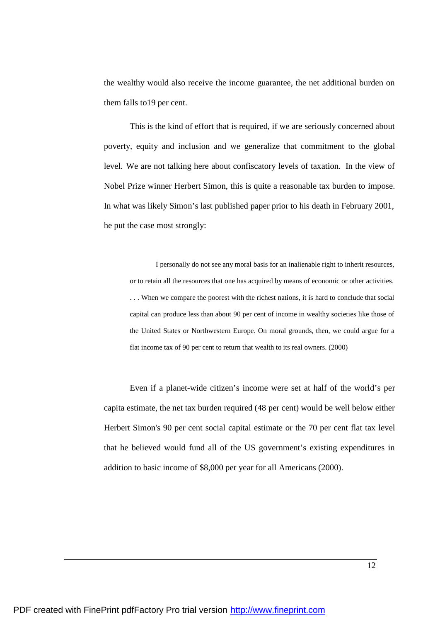the wealthy would also receive the income guarantee, the net additional burden on them falls to19 per cent.

This is the kind of effort that is required, if we are seriously concerned about poverty, equity and inclusion and we generalize that commitment to the global level. We are not talking here about confiscatory levels of taxation. In the view of Nobel Prize winner Herbert Simon, this is quite a reasonable tax burden to impose. In what was likely Simon's last published paper prior to his death in February 2001, he put the case most strongly:

I personally do not see any moral basis for an inalienable right to inherit resources, or to retain all the resources that one has acquired by means of economic or other activities. . . . When we compare the poorest with the richest nations, it is hard to conclude that social capital can produce less than about 90 per cent of income in wealthy societies like those of the United States or Northwestern Europe. On moral grounds, then, we could argue for a flat income tax of 90 per cent to return that wealth to its real owners. (2000)

Even if a planet-wide citizen's income were set at half of the world's per capita estimate, the net tax burden required (48 per cent) would be well below either Herbert Simon's 90 per cent social capital estimate or the 70 per cent flat tax level that he believed would fund all of the US government's existing expenditures in addition to basic income of \$8,000 per year for all Americans (2000).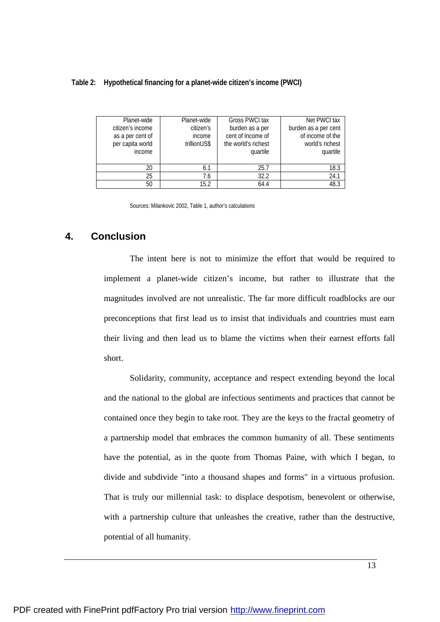#### **Table 2: Hypothetical financing for a planet-wide citizen's income (PWCI)**

| Planet-wide      | Planet-wide  | <b>Gross PWCI tax</b> | Net PWCI tax         |
|------------------|--------------|-----------------------|----------------------|
| citizen's income | citizen's    | burden as a per       | burden as a per cent |
| as a per cent of | income       | cent of Income of     | of income of the     |
| per capita world | trillionUS\$ | the world's richest   | world's richest      |
| income           |              | quartile              | quartile             |
|                  |              |                       |                      |
| 20               | 6.1          | 25.7                  | 18.3                 |
| 25               | 7.6          | 32.2                  | 24.1                 |
| 50               | 15.2         | 64.4                  | 48.3                 |

Sources: Milankovic 2002, Table 1, author's calculations

# **4. Conclusion**

The intent here is not to minimize the effort that would be required to implement a planet-wide citizen's income, but rather to illustrate that the magnitudes involved are not unrealistic. The far more difficult roadblocks are our preconceptions that first lead us to insist that individuals and countries must earn their living and then lead us to blame the victims when their earnest efforts fall short.

Solidarity, community, acceptance and respect extending beyond the local and the national to the global are infectious sentiments and practices that cannot be contained once they begin to take root. They are the keys to the fractal geometry of a partnership model that embraces the common humanity of all. These sentiments have the potential, as in the quote from Thomas Paine, with which I began, to divide and subdivide "into a thousand shapes and forms" in a virtuous profusion. That is truly our millennial task: to displace despotism, benevolent or otherwise, with a partnership culture that unleashes the creative, rather than the destructive, potential of all humanity.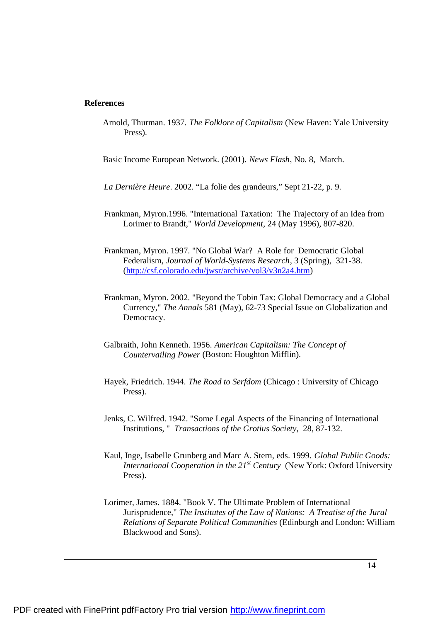### **References**

Arnold, Thurman. 1937. *The Folklore of Capitalism* (New Haven: Yale University Press).

Basic Income European Network. (2001). *News Flash*, No. 8, March.

*La Dernière Heure*. 2002. "La folie des grandeurs," Sept 21-22, p. 9.

- Frankman, Myron.1996. "International Taxation: The Trajectory of an Idea from Lorimer to Brandt," *World Development*, 24 (May 1996), 807-820.
- Frankman, Myron. 1997. "No Global War? A Role for Democratic Global Federalism, *Journal of World-Systems Research*, 3 (Spring), 321-38. ([http://csf.colorado.edu/jwsr/archive/vol3/v3n2a4.htm\)](http://csf.colorado.edu/jwsr/archive/vol3/v3n2a4.htm)
- Frankman, Myron. 2002. "Beyond the Tobin Tax: Global Democracy and a Global Currency," *The Annals* 581 (May), 62-73 Special Issue on Globalization and Democracy.
- Galbraith, John Kenneth. 1956. *American Capitalism: The Concept of Countervailing Power* (Boston: Houghton Mifflin).
- Hayek, Friedrich. 1944. *The Road to Serfdom* (Chicago : University of Chicago Press).
- Jenks, C. Wilfred. 1942. "Some Legal Aspects of the Financing of International Institutions, " *Transactions of the Grotius Society*, 28, 87-132.
- Kaul, Inge, Isabelle Grunberg and Marc A. Stern, eds. 1999. *Global Public Goods: International Cooperation in the 21st Century* (New York: Oxford University Press).
- Lorimer, James. 1884. "Book V. The Ultimate Problem of International Jurisprudence," *The Institutes of the Law of Nations: A Treatise of the Jural Relations of Separate Political Communities* (Edinburgh and London: William Blackwood and Sons).